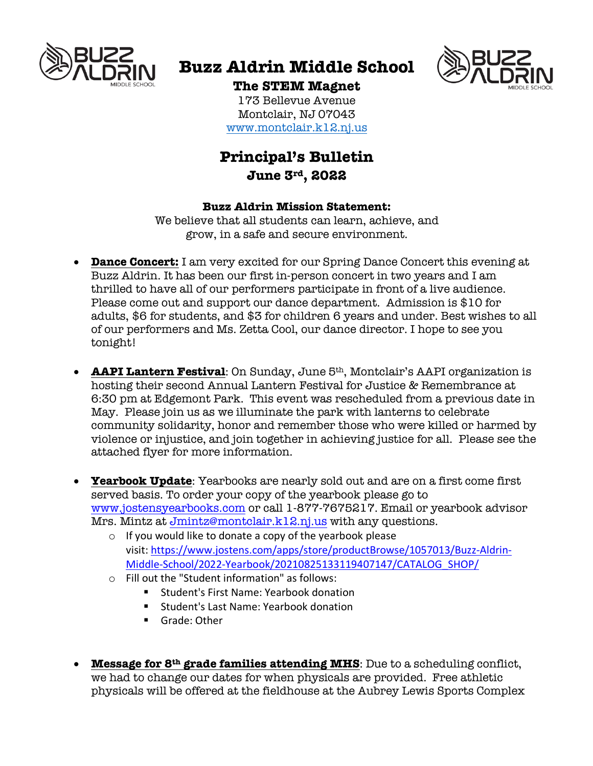

# **Buzz Aldrin Middle School**



### **The STEM Magnet**

173 Bellevue Avenue Montclair, NJ 07043 www.montclair.k12.nj.us

## **Principal's Bulletin June 3rd, 2022**

### **Buzz Aldrin Mission Statement:**

We believe that all students can learn, achieve, and grow, in a safe and secure environment.

- **Dance Concert:** I am very excited for our Spring Dance Concert this evening at Buzz Aldrin. It has been our first in-person concert in two years and I am thrilled to have all of our performers participate in front of a live audience. Please come out and support our dance department. Admission is \$10 for adults, \$6 for students, and \$3 for children 6 years and under. Best wishes to all of our performers and Ms. Zetta Cool, our dance director. I hope to see you tonight!
- **AAPI Lantern Festival**: On Sunday, June 5th, Montclair's AAPI organization is hosting their second Annual Lantern Festival for Justice & Remembrance at 6:30 pm at Edgemont Park. This event was rescheduled from a previous date in May. Please join us as we illuminate the park with lanterns to celebrate community solidarity, honor and remember those who were killed or harmed by violence or injustice, and join together in achieving justice for all. Please see the attached flyer for more information.
- **Yearbook Update**: Yearbooks are nearly sold out and are on a first come first served basis. To order your copy of the yearbook please go to www.jostensyearbooks.com or call 1-877-7675217. Email or yearbook advisor Mrs. Mintz at Jmintz@montclair.k12.nj.us with any questions.
	- o If you would like to donate a copy of the yearbook please visit: https://www.jostens.com/apps/store/productBrowse/1057013/Buzz-Aldrin-Middle-School/2022-Yearbook/20210825133119407147/CATALOG\_SHOP/
	- o Fill out the "Student information" as follows:
		- Student's First Name: Yearbook donation
		- Student's Last Name: Yearbook donation
		- Grade: Other
- **Message for 8th grade families attending MHS**: Due to a scheduling conflict, we had to change our dates for when physicals are provided. Free athletic physicals will be offered at the fieldhouse at the Aubrey Lewis Sports Complex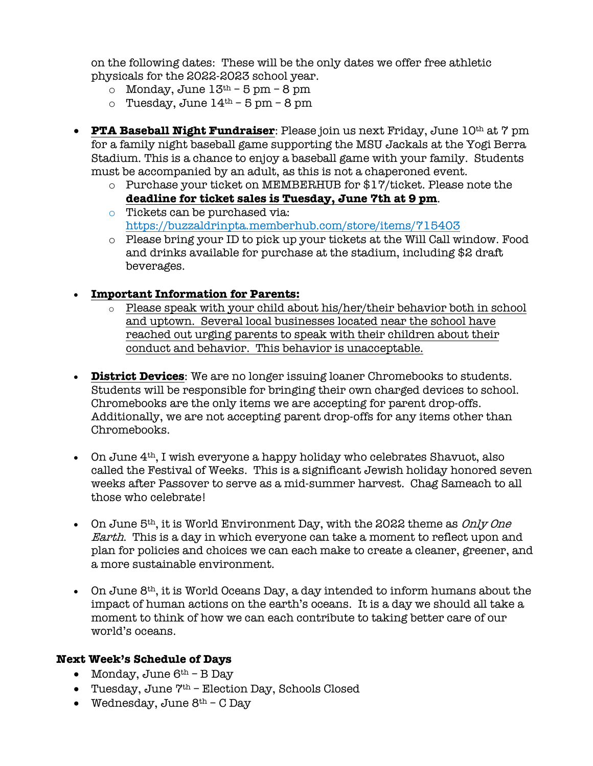on the following dates: These will be the only dates we offer free athletic physicals for the 2022-2023 school year.

- o Monday, June  $13<sup>th</sup> 5$  pm  $8$  pm
- $\circ$  Tuesday, June  $14^{th}$  5 pm 8 pm
- **PTA Baseball Night Fundraiser**: Please join us next Friday, June 10th at 7 pm for a family night baseball game supporting the MSU Jackals at the Yogi Berra Stadium. This is a chance to enjoy a baseball game with your family. Students must be accompanied by an adult, as this is not a chaperoned event.
	- o Purchase your ticket on MEMBERHUB for \$17/ticket. Please note the **deadline for ticket sales is Tuesday, June 7th at 9 pm**.
	- o Tickets can be purchased via: https://buzzaldrinpta.memberhub.com/store/items/715403
	- o Please bring your ID to pick up your tickets at the Will Call window. Food and drinks available for purchase at the stadium, including \$2 draft beverages.

### • **Important Information for Parents:**

- $\circ$  Please speak with your child about his/her/their behavior both in school and uptown. Several local businesses located near the school have reached out urging parents to speak with their children about their conduct and behavior. This behavior is unacceptable.
- **District Devices**: We are no longer issuing loaner Chromebooks to students. Students will be responsible for bringing their own charged devices to school. Chromebooks are the only items we are accepting for parent drop-offs. Additionally, we are not accepting parent drop-offs for any items other than Chromebooks.
- On June 4<sup>th</sup>, I wish everyone a happy holiday who celebrates Shavuot, also called the Festival of Weeks. This is a significant Jewish holiday honored seven weeks after Passover to serve as a mid-summer harvest. Chag Sameach to all those who celebrate!
- On June  $5<sup>th</sup>$ , it is World Environment Day, with the 2022 theme as *Only One* Earth. This is a day in which everyone can take a moment to reflect upon and plan for policies and choices we can each make to create a cleaner, greener, and a more sustainable environment.
- On June 8th, it is World Oceans Day, a day intended to inform humans about the impact of human actions on the earth's oceans. It is a day we should all take a moment to think of how we can each contribute to taking better care of our world's oceans.

#### **Next Week's Schedule of Days**

- Monday, June  $6^{th}$  B Day
- Tuesday, June 7<sup>th</sup> Election Day, Schools Closed
- Wednesday, June  $8^{th}$  C Day